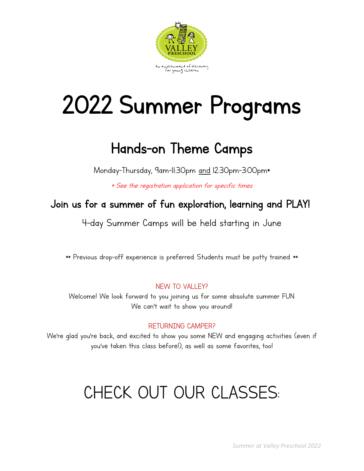

# 2022 Summer Programs

### Hands-on Theme Camps

Monday-Thursday, 9am-11:30pm and 12:30pm-3:00pm\*

\* See the registration application for specific times

Join us for a summer of fun exploration, learning and PLAY!

4-day Summer Camps will be held starting in June

\*\* Previous drop-off experience is preferred. Students must be potty trained. \*\*

#### NEW TO VALLEY?

Welcome! We look forward to you joining us for some absolute summer FUN. We can't wait to show you around!

#### RETURNING CAMPER?

We're glad you're back, and excited to show you some NEW and engaging activities (even if you've taken this class before!), as well as some favorites, too!

## CHECK OUT OUR CLASSES: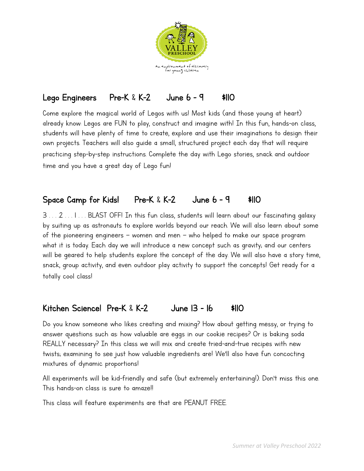

#### Lego Engineers Pre-K & K-2 June 6 - 9 \$110

Come explore the magical world of Legos with us! Most kids (and those young at heart) already know: Legos are FUN to play, construct and imagine with! In this fun, hands-on class, students will have plenty of time to create, explore and use their imaginations to design their own projects. Teachers will also guide a small, structured project each day that will require practicing step-by-step instructions. Complete the day with Lego stories, snack and outdoor time and you have a great day of Lego fun!

#### Space Camp for Kids! Pre-K & K-2 June 6 - 9 \$110

3 . . . 2 . . . I . . . BLAST OFF! In this fun class, students will learn about our fascinating galaxy by suiting up as astronauts to explore worlds beyond our reach. We will also learn about some of the pioneering engineers – women and men – who helped to make our space program what it is today. Each day we will introduce a new concept such as gravity; and our centers will be geared to help students explore the concept of the day. We will also have a story time, snack, group activity, and even outdoor play activity to support the concepts! Get ready for a totally cool class!

#### Kitchen Science! Pre-K & K-2 June 13 - 16 \$110

Do you know someone who likes creating and mixing? How about getting messy, or trying to answer questions such as: how valuable are eggs in our cookie recipes? Or is baking soda REALLY necessary? In this class we will mix and create tried-and-true recipes with new twists; examining to see just how valuable ingredients are! We'll also have fun concocting mixtures of dynamic proportions!

All experiments will be kid-friendly and safe (but extremely entertaining!). Don't miss this one. This hands-on class is sure to amaze!!

This class will feature experiments are that are PEANUT FREE.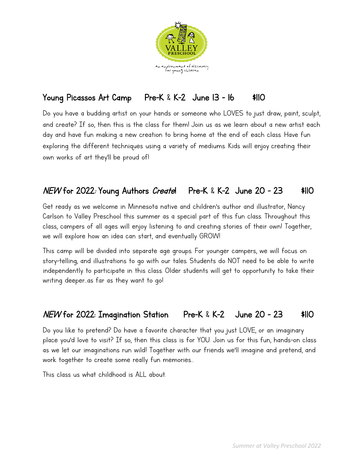

#### Young Picassos Art Camp Pre-K & K-2 June 13 - 16 \$110

Do you have a budding artist on your hands or someone who LOVES to just draw, paint, sculpt, and create? If so, then this is the class for them! Join us as we learn about a new artist each day and have fun making a new creation to bring home at the end of each class. Have fun exploring the different techniques using a variety of mediums. Kids will enjoy creating their own works of art they'll be proud of!

#### NEW for 2022: Young Authors Create! Pre-K & K-2 June 20 - 23 \$110

Get ready as we welcome in Minnesota native and children's author and illustrator, Nancy Carlson to Valley Preschool this summer as a special part of this fun class. Throughout this class, campers of all ages will enjoy listening to and creating stories of their own! Together, we will explore how an idea can start, and eventually GROW!

This camp will be divided into separate age groups. For younger campers, we will focus on story-telling, and illustrations to go with our tales. Students do NOT need to be able to write independently to participate in this class. Older students will get to opportunity to take their writing deeper…as far as they want to go!

#### NEW for 2022: Imagination Station Pre-K & K-2 June 20 - 23 \$110

Do you like to pretend? Do have a favorite character that you just LOVE, or an imaginary place you'd love to visit? If so, then this class is for YOU. Join us for this fun, hands-on class as we let our imaginations run wild! Together with our friends we'll imagine and pretend, and work together to create some really fun memories…

This class us what childhood is ALL about.